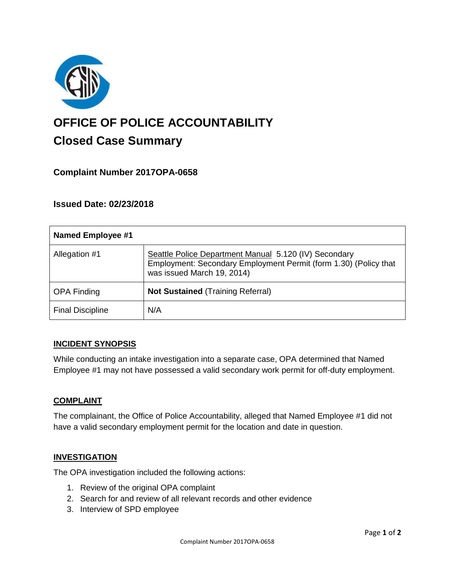

# **OFFICE OF POLICE ACCOUNTABILITY**

# **Closed Case Summary**

# **Complaint Number 2017OPA-0658**

# **Issued Date: 02/23/2018**

| <b>Named Employee #1</b> |                                                                                                                                                         |
|--------------------------|---------------------------------------------------------------------------------------------------------------------------------------------------------|
| Allegation #1            | Seattle Police Department Manual 5.120 (IV) Secondary<br>Employment: Secondary Employment Permit (form 1.30) (Policy that<br>was issued March 19, 2014) |
| <b>OPA Finding</b>       | <b>Not Sustained (Training Referral)</b>                                                                                                                |
| <b>Final Discipline</b>  | N/A                                                                                                                                                     |

### **INCIDENT SYNOPSIS**

While conducting an intake investigation into a separate case, OPA determined that Named Employee #1 may not have possessed a valid secondary work permit for off-duty employment.

#### **COMPLAINT**

The complainant, the Office of Police Accountability, alleged that Named Employee #1 did not have a valid secondary employment permit for the location and date in question.

### **INVESTIGATION**

The OPA investigation included the following actions:

- 1. Review of the original OPA complaint
- 2. Search for and review of all relevant records and other evidence
- 3. Interview of SPD employee